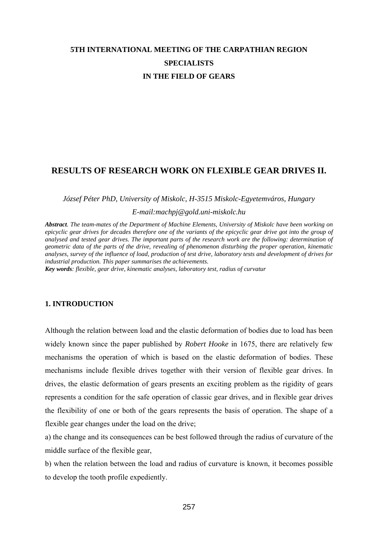# **5TH INTERNATIONAL MEETING OF THE CARPATHIAN REGION SPECIALISTS IN THE FIELD OF GEARS**

# **RESULTS OF RESEARCH WORK ON FLEXIBLE GEAR DRIVES II.**

# *József Péter PhD, University of Miskolc, H-3515 Miskolc-Egyetemváros, Hungary*

# *E-mail:machpj@gold.uni-miskolc.hu*

*Abstract. The team-mates of the Department of Machine Elements, University of Miskolc have been working on epicyclic gear drives for decades therefore one of the variants of the epicyclic gear drive got into the group of analysed and tested gear drives. The important parts of the research work are the following: determination of geometric data of the parts of the drive, revealing of phenomenon disturbing the proper operation, kinematic analyses, survey of the influence of load, production of test drive, laboratory tests and development of drives for industrial production. This paper summarises the achievements.* 

*Key words: flexible, gear drive, kinematic analyses, laboratory test, radius of curvatur* 

# **1. INTRODUCTION**

Although the relation between load and the elastic deformation of bodies due to load has been widely known since the paper published by *Robert Hooke* in 1675, there are relatively few mechanisms the operation of which is based on the elastic deformation of bodies. These mechanisms include flexible drives together with their version of flexible gear drives. In drives, the elastic deformation of gears presents an exciting problem as the rigidity of gears represents a condition for the safe operation of classic gear drives, and in flexible gear drives the flexibility of one or both of the gears represents the basis of operation. The shape of a flexible gear changes under the load on the drive;

a) the change and its consequences can be best followed through the radius of curvature of the middle surface of the flexible gear,

b) when the relation between the load and radius of curvature is known, it becomes possible to develop the tooth profile expediently.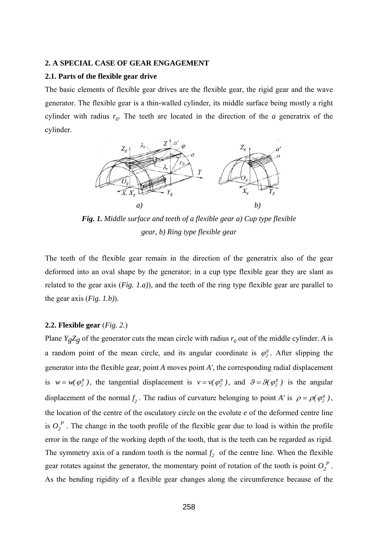#### **2. A SPECIAL CASE OF GEAR ENGAGEMENT**

#### **2.1. Parts of the flexible gear drive**

The basic elements of flexible gear drives are the flexible gear, the rigid gear and the wave generator. The flexible gear is a thin-walled cylinder, its middle surface being mostly a right cylinder with radius  $r_0$ . The teeth are located in the direction of the *a* generatrix of the cylinder.



*Fig. 1. Middle surface and teeth of a flexible gear a) Cup type flexible gear, b) Ring type flexible gear* 

The teeth of the flexible gear remain in the direction of the generatrix also of the gear deformed into an oval shape by the generator; in a cup type flexible gear they are slant as related to the gear axis (*Fig. 1.a)*), and the teeth of the ring type flexible gear are parallel to the gear axis (*Fig. 1.b)*).

#### **2.2. Flexible gear** (*Fig. 2.*)

Plane *Y<sub>g</sub>Z<sub>g</sub>* of the generator cuts the mean circle with radius  $r_0$  out of the middle cylinder. *A* is a random point of the mean circle, and its angular coordinate is  $\varphi_2^g$ . After slipping the generator into the flexible gear, point *A* moves point *A'*, the corresponding radial displacement is  $w = w(\varphi_2^g)$ , the tangential displacement is  $v = v(\varphi_2^g)$ , and  $\vartheta = \vartheta(\varphi_2^g)$  is the angular displacement of the normal  $f_2$ . The radius of curvature belonging to point *A'* is  $\rho = \rho(\varphi_2^g)$ , the location of the centre of the osculatory circle on the evolute *e* of the deformed centre line is  $O_2^P$ . The change in the tooth profile of the flexible gear due to load is within the profile error in the range of the working depth of the tooth, that is the teeth can be regarded as rigid. The symmetry axis of a random tooth is the normal  $f_2$  of the centre line. When the flexible gear rotates against the generator, the momentary point of rotation of the tooth is point  $O_2^P$ . As the bending rigidity of a flexible gear changes along the circumference because of the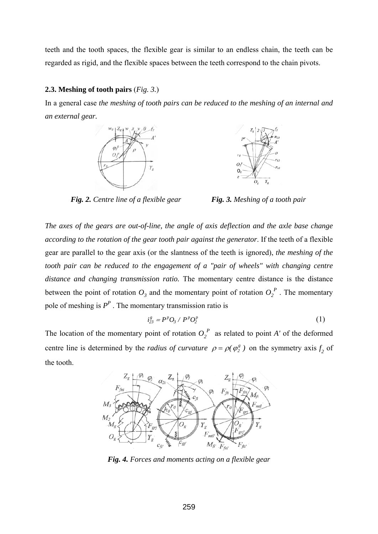teeth and the tooth spaces, the flexible gear is similar to an endless chain, the teeth can be regarded as rigid, and the flexible spaces between the teeth correspond to the chain pivots.

# **2.3. Meshing of tooth pairs** (*Fig. 3.*)

In a general case *the meshing of tooth pairs can be reduced to the meshing of an internal and an external gear.* 





*Fig. 2. Centre line of a flexible gear Fig. 3. Meshing of a tooth pair* 

*The axes of the gears are out-of-line, the angle of axis deflection and the axle base change according to the rotation of the gear tooth pair against the generator*. If the teeth of a flexible gear are parallel to the gear axis (or the slantness of the teeth is ignored), *the meshing of the tooth pair can be reduced to the engagement of a "pair of wheels" with changing centre distance and changing transmission ratio.* The momentary centre distance is the distance between the point of rotation  $O_3$  and the momentary point of rotation  $O_2^P$ . The momentary pole of meshing is  $P^P$ . The momentary transmission ratio is

$$
i_{23}^g = P^p O_3 / P^p O_2^p \tag{1}
$$

The location of the momentary point of rotation  $O_2^P$  as related to point *A'* of the deformed centre line is determined by the *radius of curvature*  $\rho = \rho(\varphi_2^g)$  on the symmetry axis  $f_2$  of the tooth.



*Fig. 4. Forces and moments acting on a flexible gear*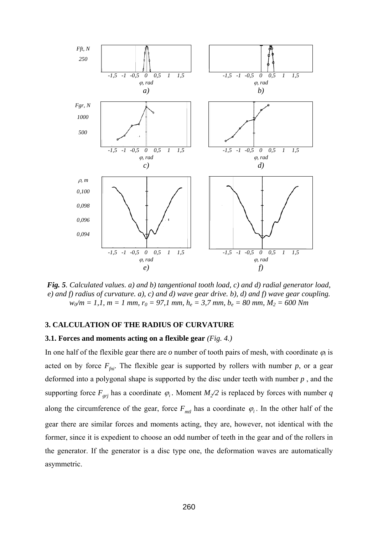

*Fig. 5. Calculated values. a) and b) tangentional tooth load, c) and d) radial generator load, e) and f) radius of curvature. a), c) and d) wave gear drive. b), d) and f) wave gear coupling.*   $w_0/m = 1, 1, m = 1$  mm,  $r_0 = 97, 1$  mm,  $h_e = 3, 7$  mm,  $b_e = 80$  mm,  $M_2 = 600$  Nm

# **3. CALCULATION OF THE RADIUS OF CURVATURE**

# **3.1. Forces and moments acting on a flexible gear** *(Fig. 4.)*

In one half of the flexible gear there are  $\sigma$  number of tooth pairs of mesh, with coordinate  $\varphi_i$  is acted on by force  $F_{\text{fni}}$ . The flexible gear is supported by rollers with number  $p$ , or a gear deformed into a polygonal shape is supported by the disc under teeth with number *p* , and the supporting force  $F_{gij}$  has a coordinate  $\varphi_i$ . Moment  $M_2/2$  is replaced by forces with number *q* along the circumference of the gear, force  $F_{ml}$  has a coordinate  $\varphi_l$ . In the other half of the gear there are similar forces and moments acting, they are, however, not identical with the former, since it is expedient to choose an odd number of teeth in the gear and of the rollers in the generator. If the generator is a disc type one, the deformation waves are automatically asymmetric.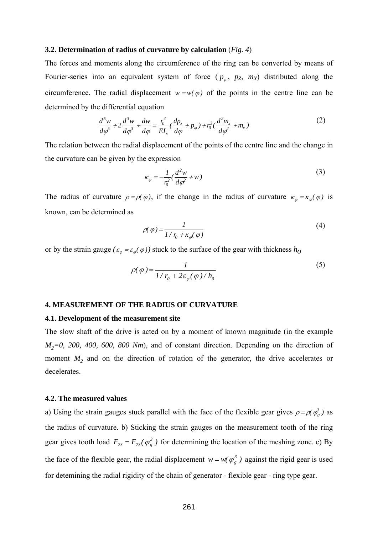#### **3.2. Determination of radius of curvature by calculation** (*Fig. 4*)

The forces and moments along the circumference of the ring can be converted by means of Fourier-series into an equivalent system of force  $(p_{\varphi}, p_{z}, m_{x})$  distributed along the circumference. The radial displacement  $w = w(\varphi)$  of the points in the centre line can be determined by the differential equation

$$
\frac{d^5w}{d\varphi^5} + 2\frac{d^3w}{d\varphi^3} + \frac{dw}{d\varphi} = \frac{r_0^4}{EI_x} \left(\frac{dp_z}{d\varphi} + p_\varphi\right) + r_0^3 \left(\frac{d^2m_x}{d\varphi^2} + m_x\right)
$$
(2)

The relation between the radial displacement of the points of the centre line and the change in the curvature can be given by the expression

$$
\kappa_{\varphi} = -\frac{1}{r_0^2} \left( \frac{d^2 w}{d\varphi^2} + w \right) \tag{3}
$$

The radius of curvature  $\rho = \rho(\varphi)$ , if the change in the radius of curvature  $\kappa_{\varphi} = \kappa_{\varphi}(\varphi)$  is known, can be determined as

$$
\rho(\varphi) = \frac{1}{1/r_0 + \kappa_{\varphi}(\varphi)}
$$
\n(4)

or by the strain gauge  $(\varepsilon_{\varphi} = \varepsilon_{\varphi}(\varphi))$  stuck to the surface of the gear with thickness  $h_{\varphi}$ 

$$
\rho(\varphi) = \frac{1}{1/r_0 + 2\varepsilon_{\varphi}(\varphi)/h_0}
$$
\n<sup>(5)</sup>

#### **4. MEASUREMENT OF THE RADIUS OF CURVATURE**

#### **4.1. Development of the measurement site**

The slow shaft of the drive is acted on by a moment of known magnitude (in the example  $M_2=0$ , 200, 400, 600, 800 Nm), and of constant direction. Depending on the direction of moment *M<sub>2</sub>* and on the direction of rotation of the generator, the drive accelerates or decelerates.

#### **4.2. The measured values**

a) Using the strain gauges stuck parallel with the face of the flexible gear gives  $\rho = \rho(\phi_g^3)$  as the radius of curvature. b) Sticking the strain gauges on the measurement tooth of the ring gear gives tooth load  $F_{23} = F_{23}(\varphi_g^3)$  for determining the location of the meshing zone. c) By the face of the flexible gear, the radial displacement  $w = w(\varphi_g^3)$  against the rigid gear is used for detemining the radial rigidity of the chain of generator - flexible gear - ring type gear.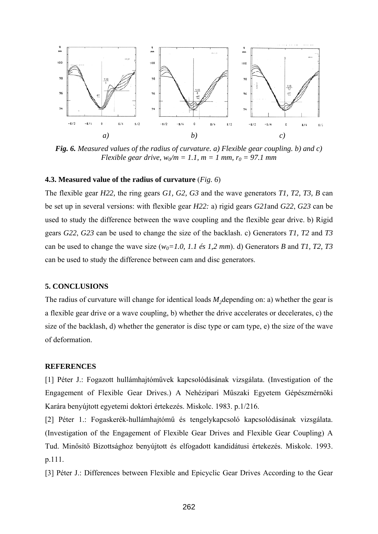

*Fig. 6. Measured values of the radius of curvature. a) Flexible gear coupling. b) and c) Flexible gear drive,*  $w_0/m = 1.1$ *,*  $m = 1$  *mm,*  $r_0 = 97.1$  *mm* 

#### **4.3. Measured value of the radius of curvature** (*Fig. 6*)

The flexible gear *H22,* the ring gears *G1, G2, G3* and the wave generators *T1, T2, T3, B* can be set up in several versions: with flexible gear *H22:* a) rigid gears *G21*and *G22*, *G23* can be used to study the difference between the wave coupling and the flexible gear drive. b) Rigid gears *G22*, *G23* can be used to change the size of the backlash. c) Generators *T1, T2* and *T3* can be used to change the wave size  $(w_0=1.0, 1.1 \text{ és } 1.2 \text{ mm})$ . d) Generators *B* and *T1*, *T2*, *T3* can be used to study the difference between cam and disc generators.

#### **5. CONCLUSIONS**

The radius of curvature will change for identical loads  $M_2$  depending on: a) whether the gear is a flexible gear drive or a wave coupling, b) whether the drive accelerates or decelerates, c) the size of the backlash, d) whether the generator is disc type or cam type, e) the size of the wave of deformation.

#### **REFERENCES**

[1] Péter J.: Fogazott hullámhajtóművek kapcsolódásának vizsgálata. (Investigation of the Engagement of Flexible Gear Drives.) A Nehézipari Műszaki Egyetem Gépészmérnöki Karára benyújtott egyetemi doktori értekezés. Miskolc. 1983. p.1/216.

[2] Péter 1.: Fogaskerék-hullámhajtómű és tengelykapcsoló kapcsolódásának vizsgálata. (Investigation of the Engagement of Flexible Gear Drives and Flexible Gear Coupling) A Tud. Minősítő Bizottsághoz benyújtott és elfogadott kandidátusi értekezés. Miskolc. 1993. p.111.

[3] Péter J.: Differences between Flexible and Epicyclic Gear Drives According to the Gear